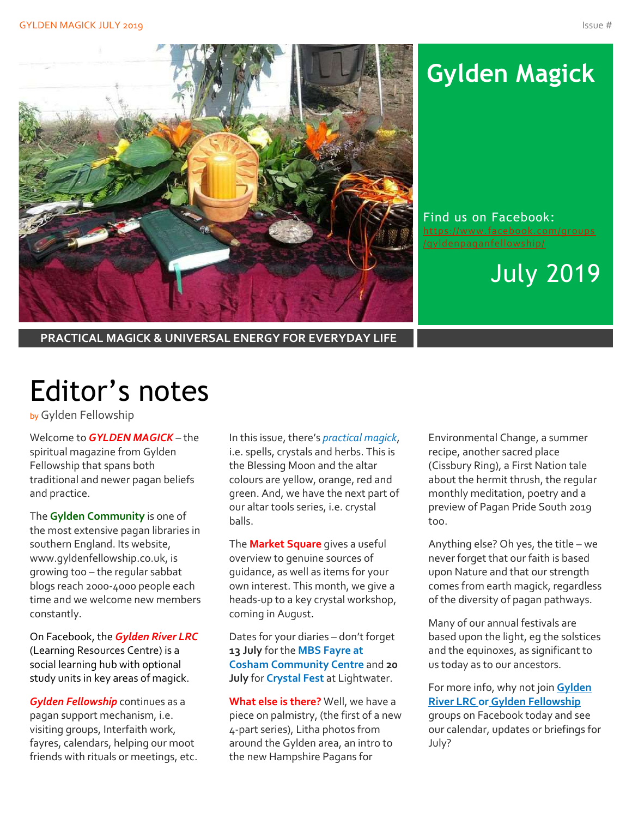

# **Gylden Magick**

Find us on Facebook: [https://www.facebook.com/groups](https://www.facebook.com/groups/gyldenpaganfellowship/) [/gyldenpaganfellowship/](https://www.facebook.com/groups/gyldenpaganfellowship/)

July 2019

**PRACTICAL MAGICK & UNIVERSAL ENERGY FOR EVERYDAY LIFE**

# Editor's notes

by Gylden Fellowship

Welcome to *GYLDEN MAGICK* – the spiritual magazine from Gylden Fellowship that spans both traditional and newer pagan beliefs and practice.

The **Gylden Community** is one of the most extensive pagan libraries in southern England. Its website, www.gyldenfellowship.co.uk, is growing too – the regular sabbat blogs reach 2000-4000 people each time and we welcome new members constantly.

On Facebook, the *Gylden River LRC* (Learning Resources Centre) is a social learning hub with optional study units in key areas of magick.

*Gylden Fellowship* continues as a pagan support mechanism, i.e. visiting groups, Interfaith work, fayres, calendars, helping our moot friends with rituals or meetings, etc.

In this issue, there's *practical magick*, i.e. spells, crystals and herbs. This is the Blessing Moon and the altar colours are yellow, orange, red and green. And, we have the next part of our altar tools series, i.e. crystal balls.

The **Market Square** gives a useful overview to genuine sources of guidance, as well as items for your own interest. This month, we give a heads-up to a key crystal workshop, coming in August.

Dates for your diaries – don't forget **13 July** for the **MBS Fayre at Cosham Community Centre** and **20 July** for **Crystal Fest** at Lightwater.

**What else is there?** Well, we have a piece on palmistry, (the first of a new 4-part series), Litha photos from around the Gylden area, an intro to the new Hampshire Pagans for

Environmental Change, a summer recipe, another sacred place (Cissbury Ring), a First Nation tale about the hermit thrush, the regular monthly meditation, poetry and a preview of Pagan Pride South 2019 too.

Anything else? Oh yes, the title – we never forget that our faith is based upon Nature and that our strength comes from earth magick, regardless of the diversity of pagan pathways.

Many of our annual festivals are based upon the light, eg the solstices and the equinoxes, as significant to us today as to our ancestors.

For more info, why not join **Gylden River LRC or Gylden Fellowship** groups on Facebook today and see our calendar, updates or briefings for July?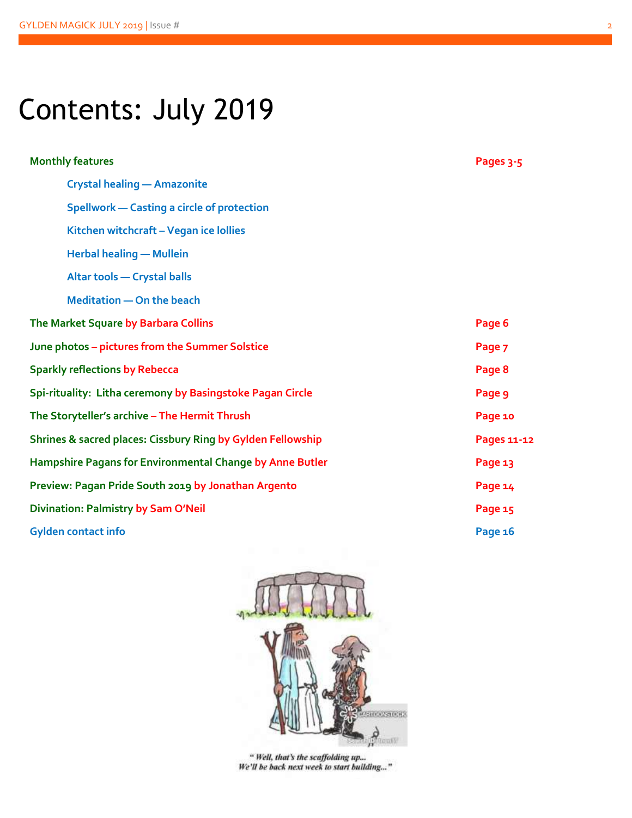# Contents: July 2019

| <b>Monthly features</b>                                     | Pages 3-5   |
|-------------------------------------------------------------|-------------|
| <b>Crystal healing - Amazonite</b>                          |             |
| <b>Spellwork - Casting a circle of protection</b>           |             |
| Kitchen witchcraft - Vegan ice lollies                      |             |
| <b>Herbal healing - Mullein</b>                             |             |
| <b>Altar tools - Crystal balls</b>                          |             |
| <b>Meditation - On the beach</b>                            |             |
| The Market Square by Barbara Collins                        | Page 6      |
| June photos - pictures from the Summer Solstice             | Page 7      |
| <b>Sparkly reflections by Rebecca</b>                       | Page 8      |
| Spi-rituality: Litha ceremony by Basingstoke Pagan Circle   | Page 9      |
| The Storyteller's archive - The Hermit Thrush               | Page 10     |
| Shrines & sacred places: Cissbury Ring by Gylden Fellowship | Pages 11-12 |
| Hampshire Pagans for Environmental Change by Anne Butler    | Page 13     |
| Preview: Pagan Pride South 2019 by Jonathan Argento         | Page 14     |
| Divination: Palmistry by Sam O'Neil                         | Page 15     |
| <b>Gylden contact info</b>                                  | Page 16     |



" Well, that's the scaffolding up... We'll be back next week to start building..."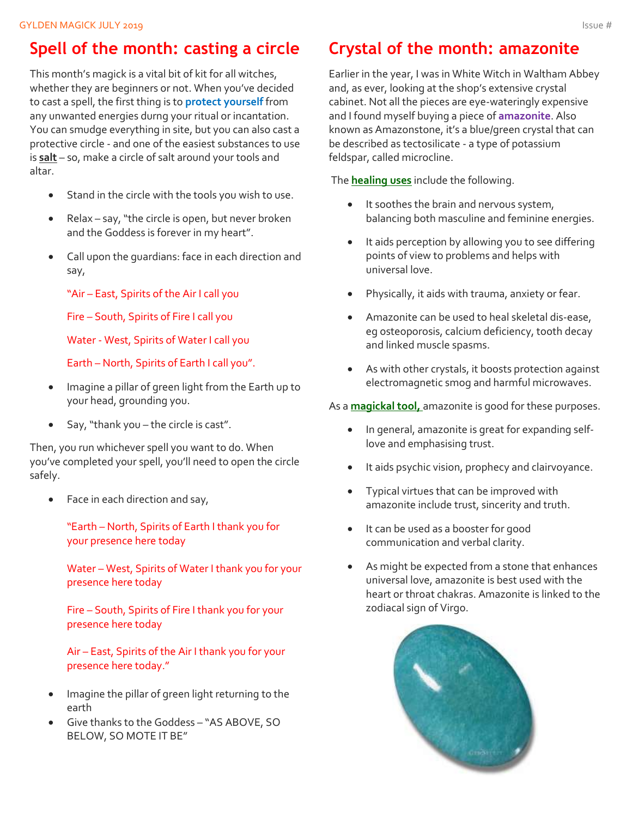### **Spell of the month: casting a circle**

This month's magick is a vital bit of kit for all witches, whether they are beginners or not. When you've decided to cast a spell, the first thing is to **protect yourself** from any unwanted energies durng your ritual or incantation. You can smudge everything in site, but you can also cast a protective circle - and one of the easiest substances to use is **salt** – so, make a circle of salt around your tools and altar.

- Stand in the circle with the tools you wish to use.
- Relax say, "the circle is open, but never broken and the Goddess is forever in my heart".
- Call upon the guardians: face in each direction and say,

"Air – East, Spirits of the Air I call you

Fire – South, Spirits of Fire I call you

Water - West, Spirits of Water I call you

Earth – North, Spirits of Earth I call you".

- Imagine a pillar of green light from the Earth up to your head, grounding you.
- Say, "thank you the circle is cast".

Then, you run whichever spell you want to do. When you've completed your spell, you'll need to open the circle safely.

• Face in each direction and say,

"Earth – North, Spirits of Earth I thank you for your presence here today

Water – West, Spirits of Water I thank you for your presence here today

Fire – South, Spirits of Fire I thank you for your presence here today

Air – East, Spirits of the Air I thank you for your presence here today."

- Imagine the pillar of green light returning to the earth
- Give thanks to the Goddess "AS ABOVE, SO BELOW, SO MOTE IT BE"

### **Crystal of the month: amazonite**

Earlier in the year, I was in White Witch in Waltham Abbey and, as ever, looking at the shop's extensive crystal cabinet. Not all the pieces are eye-wateringly expensive and I found myself buying a piece of **amazonite**. Also known as Amazonstone, it's a blue/green crystal that can be described as tectosilicate - a type of potassium feldspar, called microcline.

The **healing uses** include the following.

- It soothes the brain and nervous system, balancing both masculine and feminine energies.
- It aids perception by allowing you to see differing points of view to problems and helps with universal love.
- Physically, it aids with trauma, anxiety or fear.
- Amazonite can be used to heal skeletal dis-ease, eg osteoporosis, calcium deficiency, tooth decay and linked muscle spasms.
- As with other crystals, it boosts protection against electromagnetic smog and harmful microwaves.

#### As a **magickal tool,** amazonite is good for these purposes.

- In general, amazonite is great for expanding selflove and emphasising trust.
- It aids psychic vision, prophecy and clairvoyance.
- Typical virtues that can be improved with amazonite include trust, sincerity and truth.
- It can be used as a booster for good communication and verbal clarity.
- As might be expected from a stone that enhances universal love, amazonite is best used with the heart or throat chakras. Amazonite is linked to the zodiacal sign of Virgo.

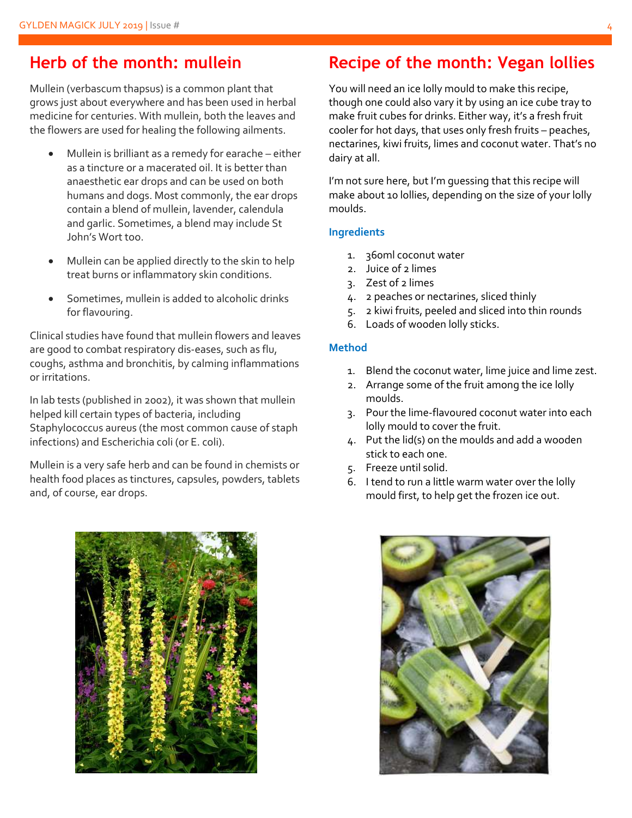### **Herb of the month: mullein**

Mullein (verbascum thapsus) is a common plant that grows just about everywhere and has been used in herbal medicine for centuries. With mullein, both the leaves and the flowers are used for healing the following ailments.

- Mullein is brilliant as a remedy for earache either as a tincture or a macerated oil. It is better than anaesthetic ear drops and can be used on both humans and dogs. Most commonly, the ear drops contain a blend of mullein, lavender, calendula and garlic. Sometimes, a blend may include St John's Wort too.
- Mullein can be applied directly to the skin to help treat burns or inflammatory skin conditions.
- Sometimes, mullein is added to alcoholic drinks for flavouring.

Clinical studies have found that mullein flowers and leaves are good to combat respiratory dis-eases, such as flu, coughs, asthma and bronchitis, by calming inflammations or irritations.

In lab tests (published in 2002), it was shown that mullein helped kill certain types of bacteria, including Staphylococcus aureus (the most common cause of staph infections) and Escherichia coli (or E. coli).

Mullein is a very safe herb and can be found in chemists or health food places as tinctures, capsules, powders, tablets and, of course, ear drops.



### **Recipe of the month: Vegan lollies**

You will need an ice lolly mould to make this recipe, though one could also vary it by using an ice cube tray to make fruit cubes for drinks. Either way, it's a fresh fruit cooler for hot days, that uses only fresh fruits – peaches, nectarines, kiwi fruits, limes and coconut water. That's no dairy at all.

I'm not sure here, but I'm guessing that this recipe will make about 10 lollies, depending on the size of your lolly moulds.

#### **Ingredients**

- 1. 360ml coconut water
- 2. Juice of 2 limes
- 3. Zest of 2 limes
- 4. 2 peaches or nectarines, sliced thinly
- 5. 2 kiwi fruits, peeled and sliced into thin rounds
- 6. Loads of wooden lolly sticks.

#### **Method**

- 1. Blend the coconut water, lime juice and lime zest.
- 2. Arrange some of the fruit among the ice lolly moulds.
- 3. Pour the lime-flavoured coconut water into each lolly mould to cover the fruit.
- 4. Put the lid(s) on the moulds and add a wooden stick to each one.
- 5. Freeze until solid.
- 6. I tend to run a little warm water over the lolly mould first, to help get the frozen ice out.

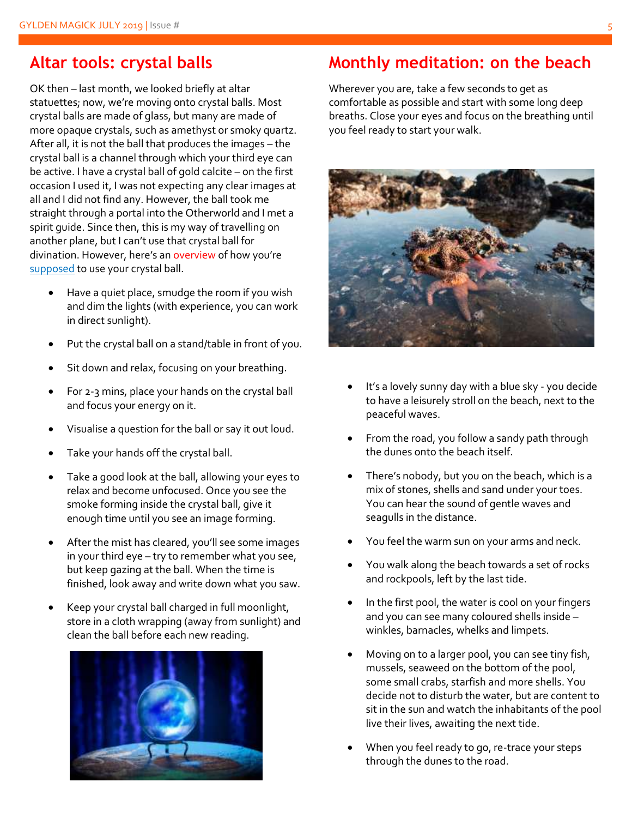#### **Altar tools: crystal balls**

OK then – last month, we looked briefly at altar statuettes; now, we're moving onto crystal balls. Most crystal balls are made of glass, but many are made of more opaque crystals, such as amethyst or smoky quartz. After all, it is not the ball that produces the images – the crystal ball is a channel through which your third eye can be active. I have a crystal ball of gold calcite – on the first occasion I used it, I was not expecting any clear images at all and I did not find any. However, the ball took me straight through a portal into the Otherworld and I met a spirit guide. Since then, this is my way of travelling on another plane, but I can't use that crystal ball for divination. However, here's an overview of how you're supposed to use your crystal ball.

- Have a quiet place, smudge the room if you wish and dim the lights (with experience, you can work in direct sunlight).
- Put the crystal ball on a stand/table in front of you.
- Sit down and relax, focusing on your breathing.
- For 2-3 mins, place your hands on the crystal ball and focus your energy on it.
- Visualise a question for the ball or say it out loud.
- Take your hands off the crystal ball.
- Take a good look at the ball, allowing your eyes to relax and become unfocused. Once you see the smoke forming inside the crystal ball, give it enough time until you see an image forming.
- After the mist has cleared, you'll see some images in your third eye – try to remember what you see, but keep gazing at the ball. When the time is finished, look away and write down what you saw.
- Keep your crystal ball charged in full moonlight, store in a cloth wrapping (away from sunlight) and clean the ball before each new reading.



### **Monthly meditation: on the beach**

Wherever you are, take a few seconds to get as comfortable as possible and start with some long deep breaths. Close your eyes and focus on the breathing until you feel ready to start your walk.



- It's a lovely sunny day with a blue sky you decide to have a leisurely stroll on the beach, next to the peaceful waves.
- From the road, you follow a sandy path through the dunes onto the beach itself.
- There's nobody, but you on the beach, which is a mix of stones, shells and sand under your toes. You can hear the sound of gentle waves and seagulls in the distance.
- You feel the warm sun on your arms and neck.
- You walk along the beach towards a set of rocks and rockpools, left by the last tide.
- In the first pool, the water is cool on your fingers and you can see many coloured shells inside – winkles, barnacles, whelks and limpets.
- Moving on to a larger pool, you can see tiny fish, mussels, seaweed on the bottom of the pool, some small crabs, starfish and more shells. You decide not to disturb the water, but are content to sit in the sun and watch the inhabitants of the pool live their lives, awaiting the next tide.
- When you feel ready to go, re-trace your steps through the dunes to the road.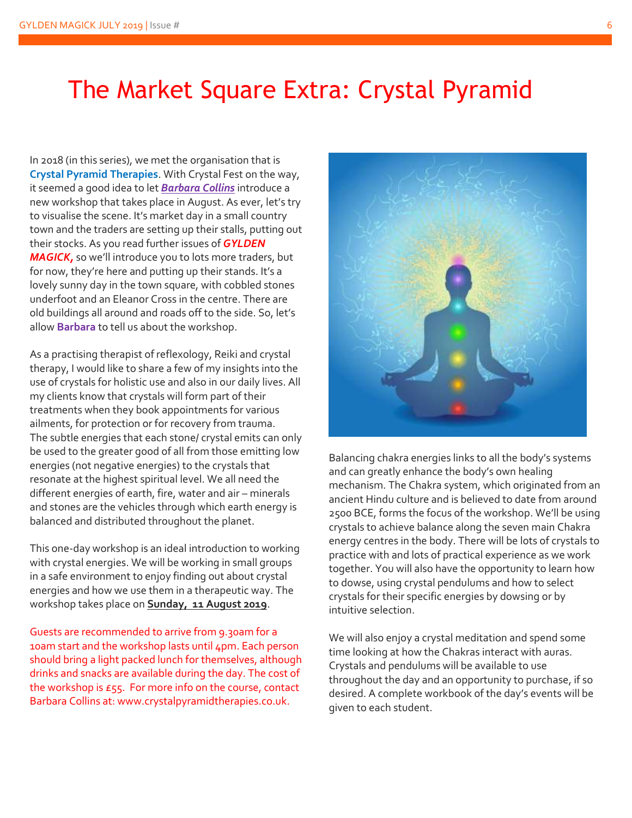## The Market Square Extra: Crystal Pyramid

In 2018 (in this series), we met the organisation that is **Crystal Pyramid Therapies**. With Crystal Fest on the way, it seemed a good idea to let *Barbara Collins* introduce a new workshop that takes place in August. As ever, let's try to visualise the scene. It's market day in a small country town and the traders are setting up their stalls, putting out their stocks. As you read further issues of *GYLDEN MAGICK,* so we'll introduce you to lots more traders, but for now, they're here and putting up their stands. It's a lovely sunny day in the town square, with cobbled stones underfoot and an Eleanor Cross in the centre. There are old buildings all around and roads off to the side. So, let's allow **Barbara** to tell us about the workshop.

As a practising therapist of reflexology, Reiki and crystal therapy, I would like to share a few of my insights into the use of crystals for holistic use and also in our daily lives. All my clients know that crystals will form part of their treatments when they book appointments for various ailments, for protection or for recovery from trauma. The subtle energies that each stone/ crystal emits can only be used to the greater good of all from those emitting low energies (not negative energies) to the crystals that resonate at the highest spiritual level. We all need the different energies of earth, fire, water and air – minerals and stones are the vehicles through which earth energy is balanced and distributed throughout the planet.

This one-day workshop is an ideal introduction to working with crystal energies. We will be working in small groups in a safe environment to enjoy finding out about crystal energies and how we use them in a therapeutic way. The workshop takes place on **Sunday, 11 August 2019**.

Guests are recommended to arrive from 9.30am for a 10am start and the workshop lasts until 4pm. Each person should bring a light packed lunch for themselves, although drinks and snacks are available during the day. The cost of the workshop is £55. For more info on the course, contact Barbara Collins at: www.crystalpyramidtherapies.co.uk.



Balancing chakra energies links to all the body's systems and can greatly enhance the body's own healing mechanism. The Chakra system, which originated from an ancient Hindu culture and is believed to date from around 2500 BCE, forms the focus of the workshop. We'll be using crystals to achieve balance along the seven main Chakra energy centres in the body. There will be lots of crystals to practice with and lots of practical experience as we work together. You will also have the opportunity to learn how to dowse, using crystal pendulums and how to select crystals for their specific energies by dowsing or by intuitive selection.

We will also enjoy a crystal meditation and spend some time looking at how the Chakras interact with auras. Crystals and pendulums will be available to use throughout the day and an opportunity to purchase, if so desired. A complete workbook of the day's events will be given to each student.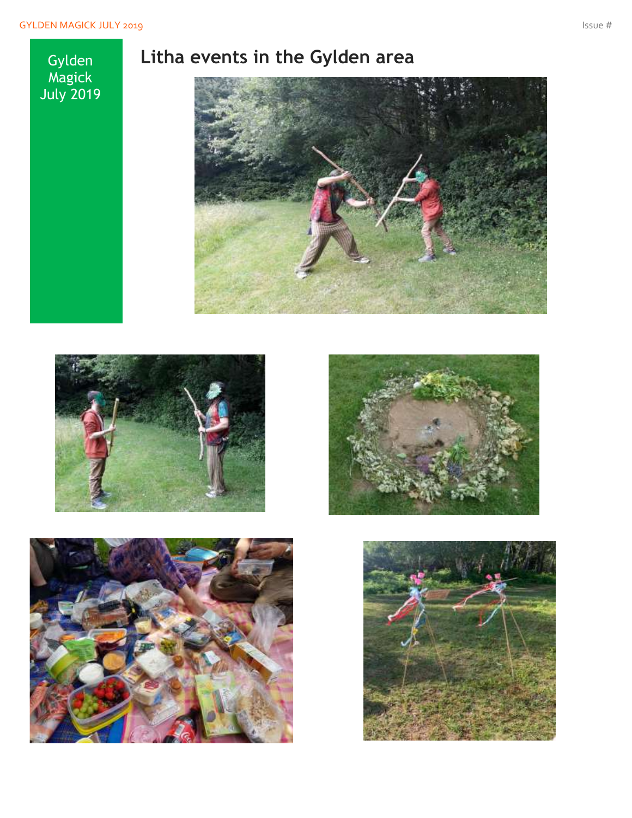**Gylden** Magick July 2019

### **Litha events in the Gylden area**









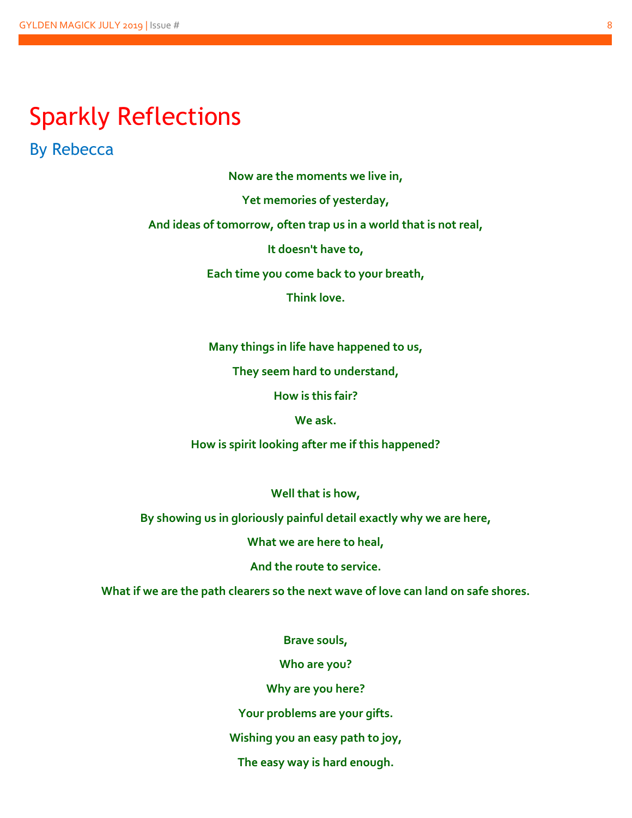## Sparkly Reflections

By Rebecca

**Now are the moments we live in,** 

**Yet memories of yesterday,**

**And ideas of tomorrow, often trap us in a world that is not real,** 

**It doesn't have to,** 

**Each time you come back to your breath,**

**Think love.**

**Many things in life have happened to us,** 

**They seem hard to understand,** 

**How is this fair?**

**We ask.** 

**How is spirit looking after me if this happened?** 

**Well that is how,** 

**By showing us in gloriously painful detail exactly why we are here,** 

**What we are here to heal,** 

**And the route to service.**

**What if we are the path clearers so the next wave of love can land on safe shores.** 

**Brave souls,**

**Who are you?** 

**Why are you here?**

**Your problems are your gifts.** 

**Wishing you an easy path to joy,** 

**The easy way is hard enough.**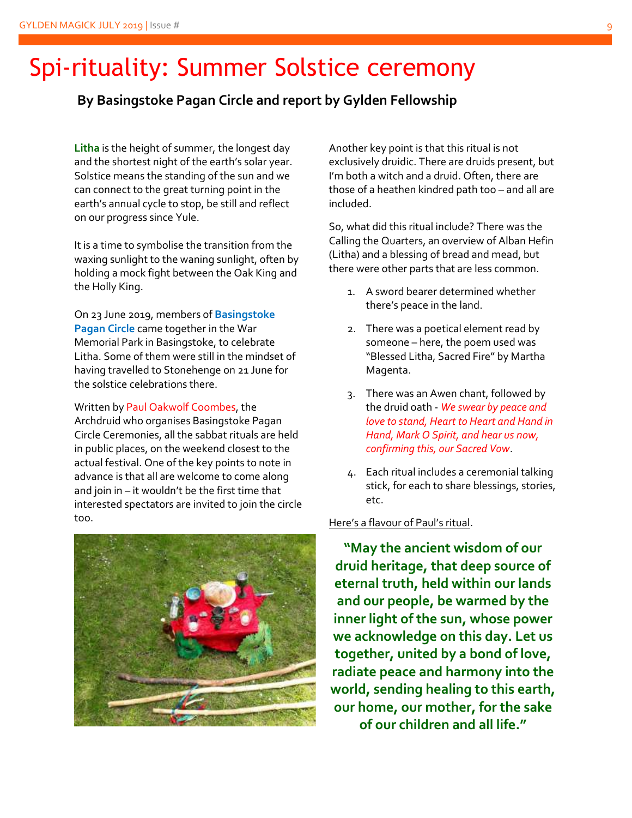# Spi-rituality: Summer Solstice ceremony

#### **By Basingstoke Pagan Circle and report by Gylden Fellowship**

**Litha** is the height of summer, the longest day and the shortest night of the earth's solar year. Solstice means the standing of the sun and we can connect to the great turning point in the earth's annual cycle to stop, be still and reflect on our progress since Yule.

It is a time to symbolise the transition from the waxing sunlight to the waning sunlight, often by holding a mock fight between the Oak King and the Holly King.

On 23 June 2019, members of **Basingstoke Pagan Circle** came together in the War Memorial Park in Basingstoke, to celebrate Litha. Some of them were still in the mindset of having travelled to Stonehenge on 21 June for the solstice celebrations there.

Written by Paul Oakwolf Coombes, the Archdruid who organises Basingstoke Pagan Circle Ceremonies, all the sabbat rituals are held in public places, on the weekend closest to the actual festival. One of the key points to note in advance is that all are welcome to come along and join in – it wouldn't be the first time that interested spectators are invited to join the circle too.



Another key point is that this ritual is not exclusively druidic. There are druids present, but I'm both a witch and a druid. Often, there are those of a heathen kindred path too – and all are included.

So, what did this ritual include? There was the Calling the Quarters, an overview of Alban Hefin (Litha) and a blessing of bread and mead, but there were other parts that are less common.

- 1. A sword bearer determined whether there's peace in the land.
- 2. There was a poetical element read by someone – here, the poem used was "Blessed Litha, Sacred Fire" by Martha Magenta.
- 3. There was an Awen chant, followed by the druid oath - *We swear by peace and love to stand, Heart to Heart and Hand in Hand, Mark O Spirit, and hear us now, confirming this, our Sacred Vow*.
- 4. Each ritual includes a ceremonial talking stick, for each to share blessings, stories, etc.

Here's a flavour of Paul's ritual.

**"May the ancient wisdom of our druid heritage, that deep source of eternal truth, held within our lands and our people, be warmed by the inner light of the sun, whose power we acknowledge on this day. Let us together, united by a bond of love, radiate peace and harmony into the world, sending healing to this earth, our home, our mother, for the sake of our children and all life."**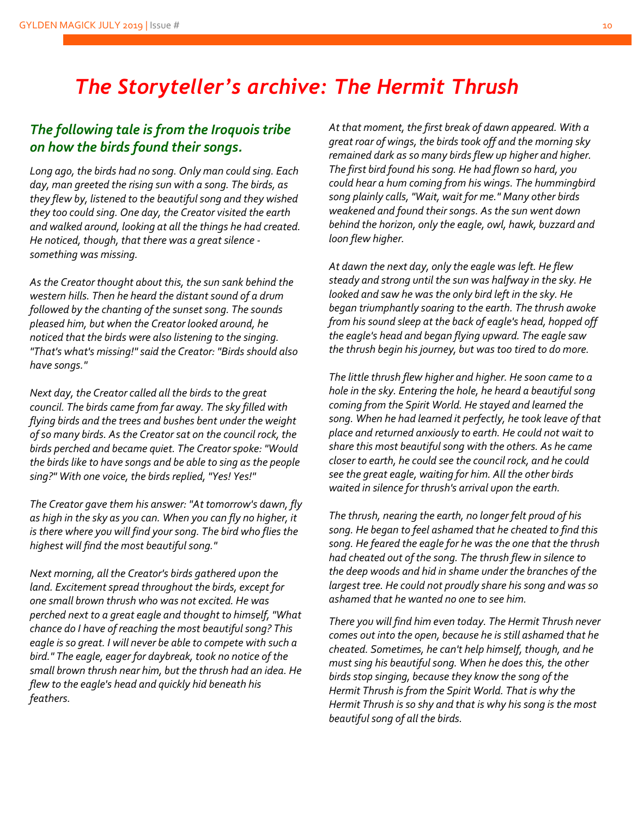### *The Storyteller's archive: The Hermit Thrush*

#### *The following tale is from the Iroquois tribe on how the birds found their songs.*

*Long ago, the birds had no song. Only man could sing. Each day, man greeted the rising sun with a song. The birds, as they flew by, listened to the beautiful song and they wished they too could sing. One day, the Creator visited the earth and walked around, looking at all the things he had created. He noticed, though, that there was a great silence something was missing.*

*As the Creator thought about this, the sun sank behind the western hills. Then he heard the distant sound of a drum followed by the chanting of the sunset song. The sounds pleased him, but when the Creator looked around, he noticed that the birds were also listening to the singing. "That's what's missing!" said the Creator: "Birds should also have songs."*

*Next day, the Creator called all the birds to the great council. The birds came from far away. The sky filled with flying birds and the trees and bushes bent under the weight of so many birds. As the Creator sat on the council rock, the birds perched and became quiet. The Creator spoke: "Would the birds like to have songs and be able to sing as the people sing?" With one voice, the birds replied, "Yes! Yes!"*

*The Creator gave them his answer: "At tomorrow's dawn, fly as high in the sky as you can. When you can fly no higher, it is there where you will find your song. The bird who flies the highest will find the most beautiful song."*

*Next morning, all the Creator's birds gathered upon the land. Excitement spread throughout the birds, except for one small brown thrush who was not excited. He was perched next to a great eagle and thought to himself, "What chance do I have of reaching the most beautiful song? This eagle is so great. I will never be able to compete with such a bird." The eagle, eager for daybreak, took no notice of the small brown thrush near him, but the thrush had an idea. He flew to the eagle's head and quickly hid beneath his feathers.* 

*At that moment, the first break of dawn appeared. With a great roar of wings, the birds took off and the morning sky remained dark as so many birds flew up higher and higher. The first bird found his song. He had flown so hard, you could hear a hum coming from his wings. The hummingbird song plainly calls, "Wait, wait for me." Many other birds weakened and found their songs. As the sun went down behind the horizon, only the eagle, owl, hawk, buzzard and loon flew higher.*

*At dawn the next day, only the eagle was left. He flew steady and strong until the sun was halfway in the sky. He looked and saw he was the only bird left in the sky. He began triumphantly soaring to the earth. The thrush awoke from his sound sleep at the back of eagle's head, hopped off the eagle's head and began flying upward. The eagle saw the thrush begin his journey, but was too tired to do more.*

*The little thrush flew higher and higher. He soon came to a hole in the sky. Entering the hole, he heard a beautiful song coming from the Spirit World. He stayed and learned the song. When he had learned it perfectly, he took leave of that place and returned anxiously to earth. He could not wait to share this most beautiful song with the others. As he came closer to earth, he could see the council rock, and he could see the great eagle, waiting for him. All the other birds waited in silence for thrush's arrival upon the earth.*

*The thrush, nearing the earth, no longer felt proud of his song. He began to feel ashamed that he cheated to find this song. He feared the eagle for he was the one that the thrush had cheated out of the song. The thrush flew in silence to the deep woods and hid in shame under the branches of the largest tree. He could not proudly share his song and was so ashamed that he wanted no one to see him.* 

*There you will find him even today. The Hermit Thrush never comes out into the open, because he is still ashamed that he cheated. Sometimes, he can't help himself, though, and he must sing his beautiful song. When he does this, the other birds stop singing, because they know the song of the Hermit Thrush is from the Spirit World. That is why the Hermit Thrush is so shy and that is why his song is the most beautiful song of all the birds.*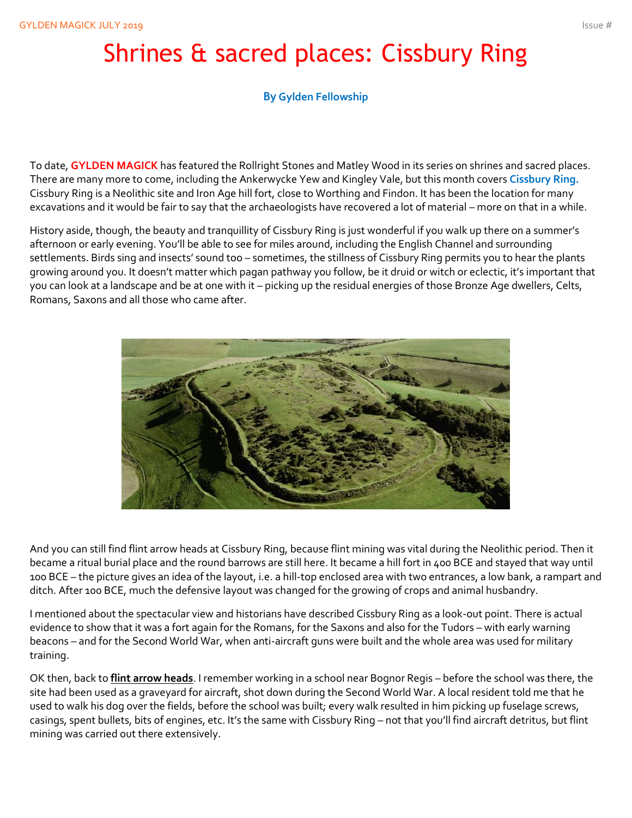# Shrines & sacred places: Cissbury Ring

#### **By Gylden Fellowship**

To date, **GYLDEN MAGICK** has featured the Rollright Stones and Matley Wood in its series on shrines and sacred places. There are many more to come, including the Ankerwycke Yew and Kingley Vale, but this month covers **Cissbury Ring.** Cissbury Ring is a Neolithic site and Iron Age hill fort, close to Worthing and Findon. It has been the location for many excavations and it would be fair to say that the archaeologists have recovered a lot of material – more on that in a while.

History aside, though, the beauty and tranquillity of Cissbury Ring is just wonderful if you walk up there on a summer's afternoon or early evening. You'll be able to see for miles around, including the English Channel and surrounding settlements. Birds sing and insects' sound too – sometimes, the stillness of Cissbury Ring permits you to hear the plants growing around you. It doesn't matter which pagan pathway you follow, be it druid or witch or eclectic, it's important that you can look at a landscape and be at one with it – picking up the residual energies of those Bronze Age dwellers, Celts, Romans, Saxons and all those who came after.



And you can still find flint arrow heads at Cissbury Ring, because flint mining was vital during the Neolithic period. Then it became a ritual burial place and the round barrows are still here. It became a hill fort in 400 BCE and stayed that way until 100 BCE – the picture gives an idea of the layout, i.e. a hill-top enclosed area with two entrances, a low bank, a rampart and ditch. After 100 BCE, much the defensive layout was changed for the growing of crops and animal husbandry.

I mentioned about the spectacular view and historians have described Cissbury Ring as a look-out point. There is actual evidence to show that it was a fort again for the Romans, for the Saxons and also for the Tudors – with early warning beacons – and for the Second World War, when anti-aircraft guns were built and the whole area was used for military training.

OK then, back to **flint arrow heads**. I remember working in a school near Bognor Regis – before the school was there, the site had been used as a graveyard for aircraft, shot down during the Second World War. A local resident told me that he used to walk his dog over the fields, before the school was built; every walk resulted in him picking up fuselage screws, casings, spent bullets, bits of engines, etc. It's the same with Cissbury Ring – not that you'll find aircraft detritus, but flint mining was carried out there extensively.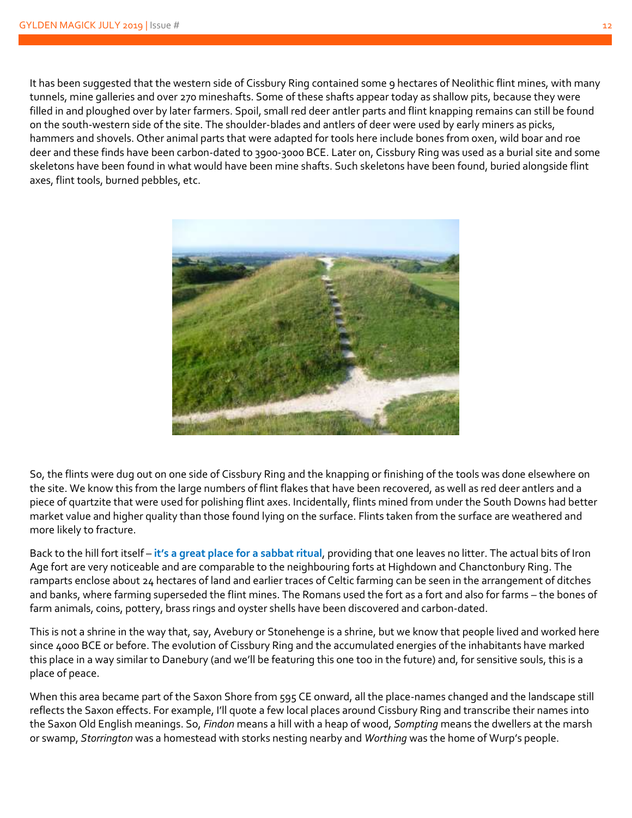It has been suggested that the western side of Cissbury Ring contained some 9 hectares of Neolithic flint mines, with many tunnels, mine galleries and over 270 mineshafts. Some of these shafts appear today as shallow pits, because they were filled in and ploughed over by later farmers. Spoil, small red deer antler parts and flint knapping remains can still be found on the south-western side of the site. The shoulder-blades and antlers of deer were used by early miners as picks, hammers and shovels. Other animal parts that were adapted for tools here include bones from oxen, wild boar and roe deer and these finds have been carbon-dated to 3900-3000 BCE. Later on, Cissbury Ring was used as a burial site and some skeletons have been found in what would have been mine shafts. Such skeletons have been found, buried alongside flint axes, flint tools, burned pebbles, etc.



So, the flints were dug out on one side of Cissbury Ring and the knapping or finishing of the tools was done elsewhere on the site. We know this from the large numbers of flint flakes that have been recovered, as well as red deer antlers and a piece of quartzite that were used for polishing flint axes. Incidentally, flints mined from under the South Downs had better market value and higher quality than those found lying on the surface. Flints taken from the surface are weathered and more likely to fracture.

Back to the hill fort itself – **it's a great place for a sabbat ritual**, providing that one leaves no litter. The actual bits of Iron Age fort are very noticeable and are comparable to the neighbouring forts at Highdown and Chanctonbury Ring. The ramparts enclose about 24 hectares of land and earlier traces of Celtic farming can be seen in the arrangement of ditches and banks, where farming superseded the flint mines. The Romans used the fort as a fort and also for farms – the bones of farm animals, coins, pottery, brass rings and oyster shells have been discovered and carbon-dated.

This is not a shrine in the way that, say, Avebury or Stonehenge is a shrine, but we know that people lived and worked here since 4000 BCE or before. The evolution of Cissbury Ring and the accumulated energies of the inhabitants have marked this place in a way similar to Danebury (and we'll be featuring this one too in the future) and, for sensitive souls, this is a place of peace.

When this area became part of the Saxon Shore from 595 CE onward, all the place-names changed and the landscape still reflects the Saxon effects. For example, I'll quote a few local places around Cissbury Ring and transcribe their names into the Saxon Old English meanings. So, *Findon* means a hill with a heap of wood, *Sompting* means the dwellers at the marsh or swamp, *Storrington* was a homestead with storks nesting nearby and *Worthing* was the home of Wurp's people.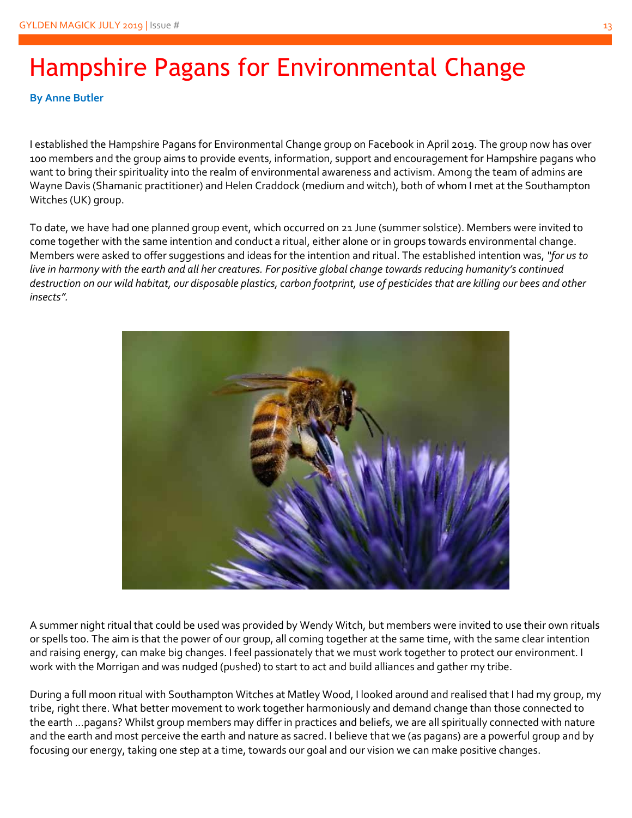# Hampshire Pagans for Environmental Change

**By Anne Butler**

I established the Hampshire Pagans for Environmental Change group on Facebook in April 2019. The group now has over 100 members and the group aims to provide events, information, support and encouragement for Hampshire pagans who want to bring their spirituality into the realm of environmental awareness and activism. Among the team of admins are Wayne Davis (Shamanic practitioner) and Helen Craddock (medium and witch), both of whom I met at the Southampton Witches (UK) group.

To date, we have had one planned group event, which occurred on 21 June (summer solstice). Members were invited to come together with the same intention and conduct a ritual, either alone or in groups towards environmental change. Members were asked to offer suggestions and ideas for the intention and ritual. The established intention was, *"for us to live in harmony with the earth and all her creatures. For positive global change towards reducing humanity's continued destruction on our wild habitat, our disposable plastics, carbon footprint, use of pesticides that are killing our bees and other insects".*



A summer night ritual that could be used was provided by Wendy Witch, but members were invited to use their own rituals or spells too. The aim is that the power of our group, all coming together at the same time, with the same clear intention and raising energy, can make big changes. I feel passionately that we must work together to protect our environment. I work with the Morrigan and was nudged (pushed) to start to act and build alliances and gather my tribe.

During a full moon ritual with Southampton Witches at Matley Wood, I looked around and realised that I had my group, my tribe, right there. What better movement to work together harmoniously and demand change than those connected to the earth …pagans? Whilst group members may differ in practices and beliefs, we are all spiritually connected with nature and the earth and most perceive the earth and nature as sacred. I believe that we (as pagans) are a powerful group and by focusing our energy, taking one step at a time, towards our goal and our vision we can make positive changes.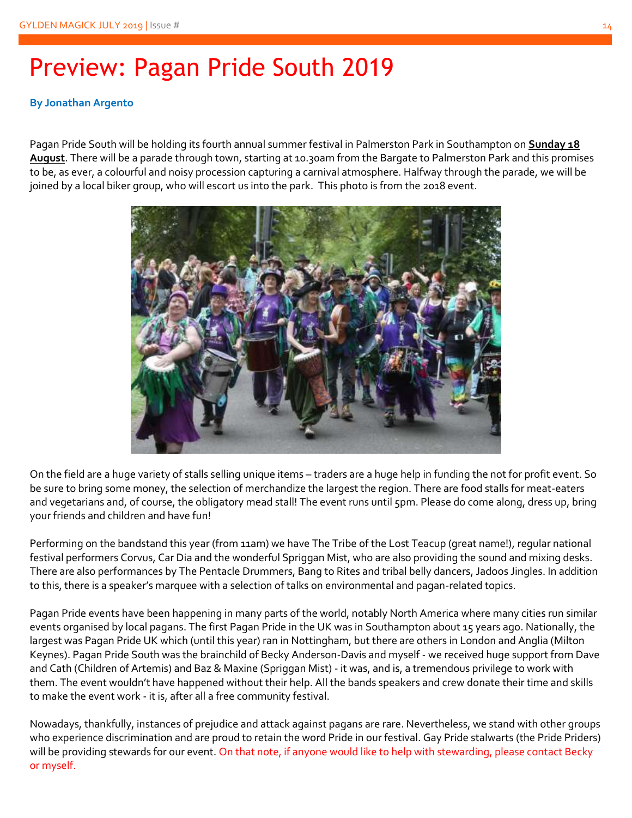# Preview: Pagan Pride South 2019

#### **By Jonathan Argento**

Pagan Pride South will be holding its fourth annual summer festival in Palmerston Park in Southampton on **Sunday 18 August**. There will be a parade through town, starting at 10.30am from the Bargate to Palmerston Park and this promises to be, as ever, a colourful and noisy procession capturing a carnival atmosphere. Halfway through the parade, we will be joined by a local biker group, who will escort us into the park. This photo is from the 2018 event.



On the field are a huge variety of stalls selling unique items – traders are a huge help in funding the not for profit event. So be sure to bring some money, the selection of merchandize the largest the region. There are food stalls for meat-eaters and vegetarians and, of course, the obligatory mead stall! The event runs until 5pm. Please do come along, dress up, bring your friends and children and have fun!

Performing on the bandstand this year (from 11am) we have The Tribe of the Lost Teacup (great name!), regular national festival performers Corvus, Car Dia and the wonderful Spriggan Mist, who are also providing the sound and mixing desks. There are also performances by The Pentacle Drummers, Bang to Rites and tribal belly dancers, Jadoos Jingles. In addition to this, there is a speaker's marquee with a selection of talks on environmental and pagan-related topics.

Pagan Pride events have been happening in many parts of the world, notably North America where many cities run similar events organised by local pagans. The first Pagan Pride in the UK was in Southampton about 15 years ago. Nationally, the largest was Pagan Pride UK which (until this year) ran in Nottingham, but there are others in London and Anglia (Milton Keynes). Pagan Pride South was the brainchild of Becky Anderson-Davis and myself - we received huge support from Dave and Cath (Children of Artemis) and Baz & Maxine (Spriggan Mist) - it was, and is, a tremendous privilege to work with them. The event wouldn't have happened without their help. All the bands speakers and crew donate their time and skills to make the event work - it is, after all a free community festival.

Nowadays, thankfully, instances of prejudice and attack against pagans are rare. Nevertheless, we stand with other groups who experience discrimination and are proud to retain the word Pride in our festival. Gay Pride stalwarts (the Pride Priders) will be providing stewards for our event. On that note, if anyone would like to help with stewarding, please contact Becky or myself.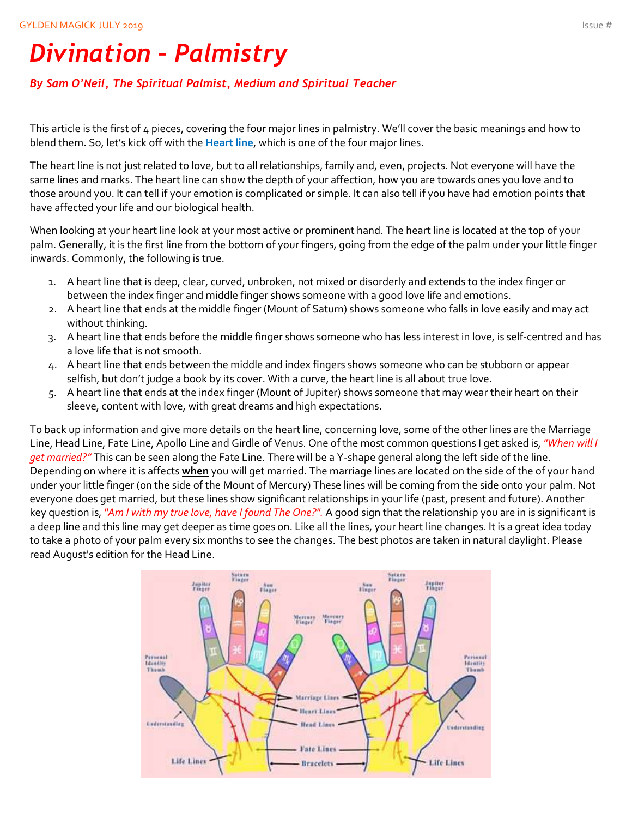# *Divination – Palmistry*

#### *By Sam O'Neil, The Spiritual Palmist, Medium and Spiritual Teacher*

This article is the first of 4 pieces, covering the four major lines in palmistry. We'll cover the basic meanings and how to blend them. So, let's kick off with the **Heart line**, which is one of the four major lines.

The heart line is not just related to love, but to all relationships, family and, even, projects. Not everyone will have the same lines and marks. The heart line can show the depth of your affection, how you are towards ones you love and to those around you. It can tell if your emotion is complicated or simple. It can also tell if you have had emotion points that have affected your life and our biological health.

When looking at your heart line look at your most active or prominent hand. The heart line is located at the top of your palm. Generally, it is the first line from the bottom of your fingers, going from the edge of the palm under your little finger inwards. Commonly, the following is true.

- 1. A heart line that is deep, clear, curved, unbroken, not mixed or disorderly and extends to the index finger or between the index finger and middle finger shows someone with a good love life and emotions.
- 2. A heart line that ends at the middle finger (Mount of Saturn) shows someone who falls in love easily and may act without thinking.
- 3. A heart line that ends before the middle finger shows someone who has less interest in love, is self-centred and has a love life that is not smooth.
- 4. A heart line that ends between the middle and index fingers shows someone who can be stubborn or appear selfish, but don't judge a book by its cover. With a curve, the heart line is all about true love.
- 5. A heart line that ends at the index finger (Mount of Jupiter) shows someone that may wear their heart on their sleeve, content with love, with great dreams and high expectations.

To back up information and give more details on the heart line, concerning love, some of the other lines are the Marriage Line, Head Line, Fate Line, Apollo Line and Girdle of Venus. One of the most common questions I get asked is, *"When will I get married?"* This can be seen along the Fate Line. There will be a Y-shape general along the left side of the line. Depending on where it is affects **when** you will get married. The marriage lines are located on the side of the of your hand under your little finger (on the side of the Mount of Mercury) These lines will be coming from the side onto your palm. Not everyone does get married, but these lines show significant relationships in your life (past, present and future). Another key question is, *"Am I with my true love, have I found The One?".* A good sign that the relationship you are in is significant is a deep line and this line may get deeper as time goes on. Like all the lines, your heart line changes. It is a great idea today to take a photo of your palm every six months to see the changes. The best photos are taken in natural daylight. Please read August's edition for the Head Line.